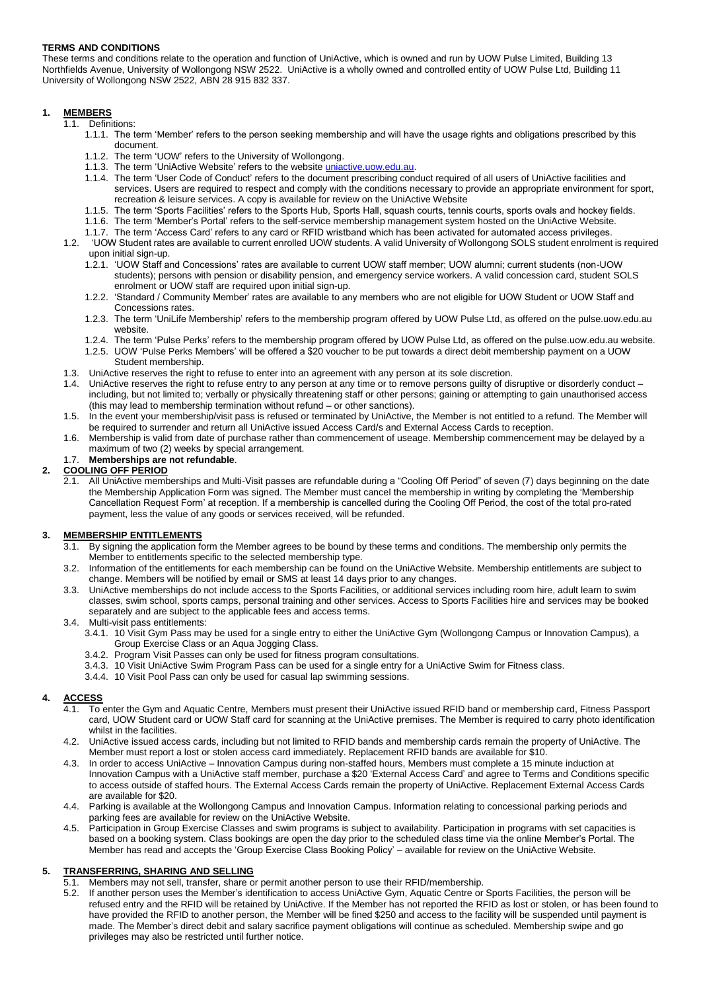# **TERMS AND CONDITIONS**

These terms and conditions relate to the operation and function of UniActive, which is owned and run by UOW Pulse Limited, Building 13 Northfields Avenue, University of Wollongong NSW 2522. UniActive is a wholly owned and controlled entity of UOW Pulse Ltd, Building 11 University of Wollongong NSW 2522, ABN 28 915 832 337.

# **1. MEMBERS**

1.1. Definitions:

- 1.1.1. The term 'Member' refers to the person seeking membership and will have the usage rights and obligations prescribed by this document.
- 1.1.2. The term 'UOW' refers to the University of Wollongong.
- 1.1.3. The term 'UniActive Website' refers to the website *[uniactive.uow.edu.au.](http://uniactive.uow.edu.au/)*
- 1.1.4. The term 'User Code of Conduct' refers to the document prescribing conduct required of all users of UniActive facilities and services. Users are required to respect and comply with the conditions necessary to provide an appropriate environment for sport, recreation & leisure services. A copy is available for review on the UniActive Website
- 1.1.5. The term 'Sports Facilities' refers to the Sports Hub, Sports Hall, squash courts, tennis courts, sports ovals and hockey fields.
- 1.1.6. The term 'Member's Portal' refers to the self-service membership management system hosted on the UniActive Website.
- 1.1.7. The term 'Access Card' refers to any card or RFID wristband which has been activated for automated access privileges. 1.2. 'UOW Student rates are available to current enrolled UOW students. A valid University of Wollongong SOLS student enrolment is required upon initial sign-up.
	- 1.2.1. 'UOW Staff and Concessions' rates are available to current UOW staff member; UOW alumni; current students (non-UOW students); persons with pension or disability pension, and emergency service workers. A valid concession card, student SOLS enrolment or UOW staff are required upon initial sign-up.
	- 1.2.2. 'Standard / Community Member' rates are available to any members who are not eligible for UOW Student or UOW Staff and Concessions rates.
	- 1.2.3. The term 'UniLife Membership' refers to the membership program offered by UOW Pulse Ltd, as offered on the pulse.uow.edu.au website.
	- 1.2.4. The term 'Pulse Perks' refers to the membership program offered by UOW Pulse Ltd, as offered on the pulse.uow.edu.au website.
	- 1.2.5. UOW 'Pulse Perks Members' will be offered a \$20 voucher to be put towards a direct debit membership payment on a UOW Student membership.
- 1.3. UniActive reserves the right to refuse to enter into an agreement with any person at its sole discretion.
- UniActive reserves the right to refuse entry to any person at any time or to remove persons guilty of disruptive or disorderly conduct including, but not limited to; verbally or physically threatening staff or other persons; gaining or attempting to gain unauthorised access (this may lead to membership termination without refund – or other sanctions).
- 1.5. In the event your membership/visit pass is refused or terminated by UniActive, the Member is not entitled to a refund. The Member will be required to surrender and return all UniActive issued Access Card/s and External Access Cards to reception.
- 1.6. Membership is valid from date of purchase rather than commencement of useage. Membership commencement may be delayed by a maximum of two (2) weeks by special arrangement.
- 1.7. **Memberships are not refundable**.

# **2. COOLING OFF PERIOD**

2.1. All UniActive memberships and Multi-Visit passes are refundable during a "Cooling Off Period" of seven (7) days beginning on the date the Membership Application Form was signed. The Member must cancel the membership in writing by completing the 'Membership Cancellation Request Form' at reception. If a membership is cancelled during the Cooling Off Period, the cost of the total pro-rated payment, less the value of any goods or services received, will be refunded.

## **3. MEMBERSHIP ENTITLEMENTS**

- 3.1. By signing the application form the Member agrees to be bound by these terms and conditions. The membership only permits the Member to entitlements specific to the selected membership type.
- 3.2. Information of the entitlements for each membership can be found on the UniActive Website. Membership entitlements are subject to change. Members will be notified by email or SMS at least 14 days prior to any changes.
- 3.3. UniActive memberships do not include access to the Sports Facilities, or additional services including room hire, adult learn to swim classes, swim school, sports camps, personal training and other services. Access to Sports Facilities hire and services may be booked separately and are subject to the applicable fees and access terms.
- 3.4. Multi-visit pass entitlements:
	- 3.4.1. 10 Visit Gym Pass may be used for a single entry to either the UniActive Gym (Wollongong Campus or Innovation Campus), a Group Exercise Class or an Aqua Jogging Class.
	- 3.4.2. Program Visit Passes can only be used for fitness program consultations.
	- 3.4.3. 10 Visit UniActive Swim Program Pass can be used for a single entry for a UniActive Swim for Fitness class.
	- 3.4.4. 10 Visit Pool Pass can only be used for casual lap swimming sessions.

## **4. ACCESS**

- 4.1. To enter the Gym and Aquatic Centre, Members must present their UniActive issued RFID band or membership card, Fitness Passport card, UOW Student card or UOW Staff card for scanning at the UniActive premises. The Member is required to carry photo identification whilst in the facilities.
- 4.2. UniActive issued access cards, including but not limited to RFID bands and membership cards remain the property of UniActive. The Member must report a lost or stolen access card immediately. Replacement RFID bands are available for \$10.
- 4.3. In order to access UniActive Innovation Campus during non-staffed hours, Members must complete a 15 minute induction at Innovation Campus with a UniActive staff member, purchase a \$20 'External Access Card' and agree to Terms and Conditions specific to access outside of staffed hours. The External Access Cards remain the property of UniActive. Replacement External Access Cards are available for \$20.
- 4.4. Parking is available at the Wollongong Campus and Innovation Campus. Information relating to concessional parking periods and parking fees are available for review on the UniActive Website.
- 4.5. Participation in Group Exercise Classes and swim programs is subject to availability. Participation in programs with set capacities is based on a booking system. Class bookings are open the day prior to the scheduled class time via the online Member's Portal. The Member has read and accepts the 'Group Exercise Class Booking Policy' – available for review on the UniActive Website.

## **5. TRANSFERRING, SHARING AND SELLING**

- 5.1. Members may not sell, transfer, share or permit another person to use their RFID/membership.
- 5.2. If another person uses the Member's identification to access UniActive Gym, Aquatic Centre or Sports Facilities, the person will be refused entry and the RFID will be retained by UniActive. If the Member has not reported the RFID as lost or stolen, or has been found to have provided the RFID to another person, the Member will be fined \$250 and access to the facility will be suspended until payment is made. The Member's direct debit and salary sacrifice payment obligations will continue as scheduled. Membership swipe and go privileges may also be restricted until further notice.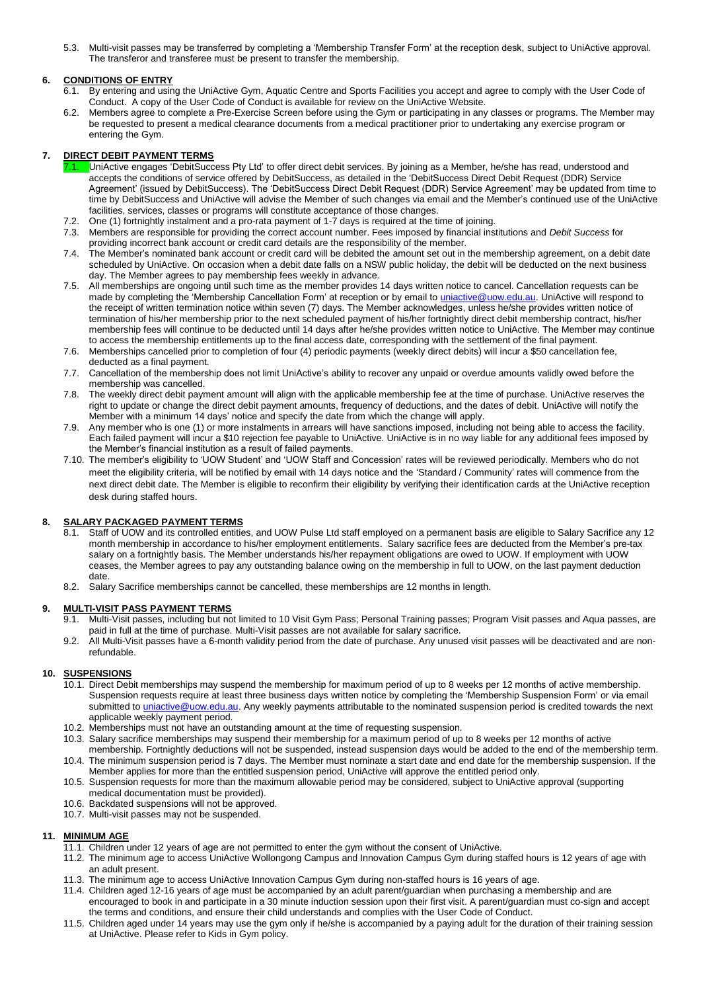5.3. Multi-visit passes may be transferred by completing a 'Membership Transfer Form' at the reception desk, subject to UniActive approval. The transferor and transferee must be present to transfer the membership.

# **6. CONDITIONS OF ENTRY**

- 6.1. By entering and using the UniActive Gym, Aquatic Centre and Sports Facilities you accept and agree to comply with the User Code of Conduct. A copy of the User Code of Conduct is available for review on the UniActive Website.
- 6.2. Members agree to complete a Pre-Exercise Screen before using the Gym or participating in any classes or programs. The Member may be requested to present a medical clearance documents from a medical practitioner prior to undertaking any exercise program or entering the Gym.

# **7. DIRECT DEBIT PAYMENT TERMS**

- 7.1. UniActive engages 'DebitSuccess Pty Ltd' to offer direct debit services. By joining as a Member, he/she has read, understood and accepts the conditions of service offered by DebitSuccess, as detailed in the 'DebitSuccess Direct Debit Request (DDR) Service Agreement' (issued by DebitSuccess). The 'DebitSuccess Direct Debit Request (DDR) Service Agreement' may be updated from time to time by DebitSuccess and UniActive will advise the Member of such changes via email and the Member's continued use of the UniActive facilities, services, classes or programs will constitute acceptance of those changes.
- 7.2. One (1) fortnightly instalment and a pro-rata payment of 1-7 days is required at the time of joining.
- 7.3. Members are responsible for providing the correct account number. Fees imposed by financial institutions and *Debit Success* for providing incorrect bank account or credit card details are the responsibility of the member.
- 7.4. The Member's nominated bank account or credit card will be debited the amount set out in the membership agreement, on a debit date scheduled by UniActive. On occasion when a debit date falls on a NSW public holiday, the debit will be deducted on the next business day. The Member agrees to pay membership fees weekly in advance.
- 7.5. All memberships are ongoing until such time as the member provides 14 days written notice to cancel. Cancellation requests can be made by completing the 'Membership Cancellation Form' at reception or by email to *uniactive@uow.edu.au*. UniActive will respond to the receipt of written termination notice within seven (7) days. The Member acknowledges, unless he/she provides written notice of termination of his/her membership prior to the next scheduled payment of his/her fortnightly direct debit membership contract, his/her membership fees will continue to be deducted until 14 days after he/she provides written notice to UniActive. The Member may continue to access the membership entitlements up to the final access date, corresponding with the settlement of the final payment.
- 7.6. Memberships cancelled prior to completion of four (4) periodic payments (weekly direct debits) will incur a \$50 cancellation fee, deducted as a final payment.
- 7.7. Cancellation of the membership does not limit UniActive's ability to recover any unpaid or overdue amounts validly owed before the membership was cancelled.
- 7.8. The weekly direct debit payment amount will align with the applicable membership fee at the time of purchase. UniActive reserves the right to update or change the direct debit payment amounts, frequency of deductions, and the dates of debit. UniActive will notify the Member with a minimum 14 days' notice and specify the date from which the change will apply.
- 7.9. Any member who is one (1) or more instalments in arrears will have sanctions imposed, including not being able to access the facility. Each failed payment will incur a \$10 rejection fee payable to UniActive. UniActive is in no way liable for any additional fees imposed by the Member's financial institution as a result of failed payments.
- 7.10. The member's eligibility to 'UOW Student' and 'UOW Staff and Concession' rates will be reviewed periodically. Members who do not meet the eligibility criteria, will be notified by email with 14 days notice and the 'Standard / Community' rates will commence from the next direct debit date. The Member is eligible to reconfirm their eligibility by verifying their identification cards at the UniActive reception desk during staffed hours.

## **8. SALARY PACKAGED PAYMENT TERMS**

- 8.1. Staff of UOW and its controlled entities, and UOW Pulse Ltd staff employed on a permanent basis are eligible to Salary Sacrifice any 12 month membership in accordance to his/her employment entitlements. Salary sacrifice fees are deducted from the Member's pre-tax salary on a fortnightly basis. The Member understands his/her repayment obligations are owed to UOW. If employment with UOW ceases, the Member agrees to pay any outstanding balance owing on the membership in full to UOW, on the last payment deduction date.
- 8.2. Salary Sacrifice memberships cannot be cancelled, these memberships are 12 months in length.

#### **9. MULTI-VISIT PASS PAYMENT TERMS**

- 9.1. Multi-Visit passes, including but not limited to 10 Visit Gym Pass; Personal Training passes; Program Visit passes and Aqua passes, are paid in full at the time of purchase. Multi-Visit passes are not available for salary sacrifice.
- 9.2. All Multi-Visit passes have a 6-month validity period from the date of purchase. Any unused visit passes will be deactivated and are nonrefundable.

## **10. SUSPENSIONS**

- 10.1. Direct Debit memberships may suspend the membership for maximum period of up to 8 weeks per 12 months of active membership. Suspension requests require at least three business days written notice by completing the 'Membership Suspension Form' or via email submitted t[o uniactive@uow.edu.au.](mailto:uniactive@uow.edu.au) Any weekly payments attributable to the nominated suspension period is credited towards the next applicable weekly payment period.
- 10.2. Memberships must not have an outstanding amount at the time of requesting suspension.
- 10.3. Salary sacrifice memberships may suspend their membership for a maximum period of up to 8 weeks per 12 months of active membership. Fortnightly deductions will not be suspended, instead suspension days would be added to the end of the membership term. 10.4. The minimum suspension period is 7 days. The Member must nominate a start date and end date for the membership suspension. If the
- Member applies for more than the entitled suspension period, UniActive will approve the entitled period only.
- 10.5. Suspension requests for more than the maximum allowable period may be considered, subject to UniActive approval (supporting medical documentation must be provided).
- 10.6. Backdated suspensions will not be approved.
- 10.7. Multi-visit passes may not be suspended.

## **11. MINIMUM AGE**

- 11.1. Children under 12 years of age are not permitted to enter the gym without the consent of UniActive.
- 11.2. The minimum age to access UniActive Wollongong Campus and Innovation Campus Gym during staffed hours is 12 years of age with an adult present.
- 11.3. The minimum age to access UniActive Innovation Campus Gym during non-staffed hours is 16 years of age.
- 11.4. Children aged 12-16 years of age must be accompanied by an adult parent/guardian when purchasing a membership and are encouraged to book in and participate in a 30 minute induction session upon their first visit. A parent/guardian must co-sign and accept the terms and conditions, and ensure their child understands and complies with the User Code of Conduct.
- 11.5. Children aged under 14 years may use the gym only if he/she is accompanied by a paying adult for the duration of their training session at UniActive. Please refer to Kids in Gym policy.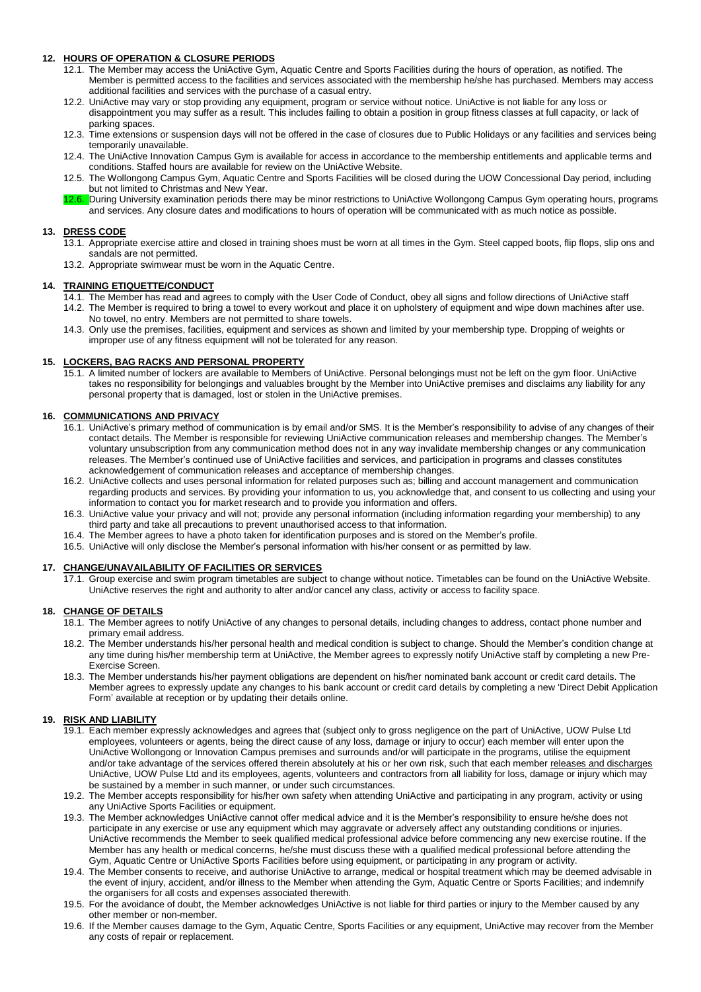### **12. HOURS OF OPERATION & CLOSURE PERIODS**

- 12.1. The Member may access the UniActive Gym, Aquatic Centre and Sports Facilities during the hours of operation, as notified. The Member is permitted access to the facilities and services associated with the membership he/she has purchased. Members may access additional facilities and services with the purchase of a casual entry.
- 12.2. UniActive may vary or stop providing any equipment, program or service without notice. UniActive is not liable for any loss or disappointment you may suffer as a result. This includes failing to obtain a position in group fitness classes at full capacity, or lack of parking spaces.
- 12.3. Time extensions or suspension days will not be offered in the case of closures due to Public Holidays or any facilities and services being temporarily unavailable.
- 12.4. The UniActive Innovation Campus Gym is available for access in accordance to the membership entitlements and applicable terms and conditions. Staffed hours are available for review on the UniActive Website.
- 12.5. The Wollongong Campus Gym, Aquatic Centre and Sports Facilities will be closed during the UOW Concessional Day period, including but not limited to Christmas and New Year.
- 12.6. During University examination periods there may be minor restrictions to UniActive Wollongong Campus Gym operating hours, programs and services. Any closure dates and modifications to hours of operation will be communicated with as much notice as possible.

#### **13. DRESS CODE**

- 13.1. Appropriate exercise attire and closed in training shoes must be worn at all times in the Gym. Steel capped boots, flip flops, slip ons and sandals are not permitted.
- 13.2. Appropriate swimwear must be worn in the Aquatic Centre.

#### **14. TRAINING ETIQUETTE/CONDUCT**

- 14.1. The Member has read and agrees to comply with the User Code of Conduct, obey all signs and follow directions of UniActive staff 14.2. The Member is required to bring a towel to every workout and place it on upholstery of equipment and wipe down machines after use. No towel, no entry. Members are not permitted to share towels.
- 14.3. Only use the premises, facilities, equipment and services as shown and limited by your membership type. Dropping of weights or improper use of any fitness equipment will not be tolerated for any reason.

### **15. LOCKERS, BAG RACKS AND PERSONAL PROPERTY**

15.1. A limited number of lockers are available to Members of UniActive. Personal belongings must not be left on the gym floor. UniActive takes no responsibility for belongings and valuables brought by the Member into UniActive premises and disclaims any liability for any personal property that is damaged, lost or stolen in the UniActive premises.

#### **16. COMMUNICATIONS AND PRIVACY**

- 16.1. UniActive's primary method of communication is by email and/or SMS. It is the Member's responsibility to advise of any changes of their contact details. The Member is responsible for reviewing UniActive communication releases and membership changes. The Member's voluntary unsubscription from any communication method does not in any way invalidate membership changes or any communication releases. The Member's continued use of UniActive facilities and services, and participation in programs and classes constitutes acknowledgement of communication releases and acceptance of membership changes.
- 16.2. UniActive collects and uses personal information for related purposes such as; billing and account management and communication regarding products and services. By providing your information to us, you acknowledge that, and consent to us collecting and using your information to contact you for market research and to provide you information and offers.
- 16.3. UniActive value your privacy and will not; provide any personal information (including information regarding your membership) to any third party and take all precautions to prevent unauthorised access to that information.
- 16.4. The Member agrees to have a photo taken for identification purposes and is stored on the Member's profile.
- 16.5. UniActive will only disclose the Member's personal information with his/her consent or as permitted by law.

#### **17. CHANGE/UNAVAILABILITY OF FACILITIES OR SERVICES**

17.1. Group exercise and swim program timetables are subject to change without notice. Timetables can be found on the UniActive Website. UniActive reserves the right and authority to alter and/or cancel any class, activity or access to facility space.

#### **18. CHANGE OF DETAILS**

- 18.1. The Member agrees to notify UniActive of any changes to personal details, including changes to address, contact phone number and primary email address.
- 18.2. The Member understands his/her personal health and medical condition is subject to change. Should the Member's condition change at any time during his/her membership term at UniActive, the Member agrees to expressly notify UniActive staff by completing a new Pre-Exercise Screen.
- 18.3. The Member understands his/her payment obligations are dependent on his/her nominated bank account or credit card details. The Member agrees to expressly update any changes to his bank account or credit card details by completing a new 'Direct Debit Application Form' available at reception or by updating their details online.

#### **19. RISK AND LIABILITY**

- 19.1. Each member expressly acknowledges and agrees that (subject only to gross negligence on the part of UniActive, UOW Pulse Ltd employees, volunteers or agents, being the direct cause of any loss, damage or injury to occur) each member will enter upon the UniActive Wollongong or Innovation Campus premises and surrounds and/or will participate in the programs, utilise the equipment and/or take advantage of the services offered therein absolutely at his or her own risk, such that each member releases and discharges UniActive, UOW Pulse Ltd and its employees, agents, volunteers and contractors from all liability for loss, damage or injury which may be sustained by a member in such manner, or under such circumstances.
- 19.2. The Member accepts responsibility for his/her own safety when attending UniActive and participating in any program, activity or using any UniActive Sports Facilities or equipment.
- 19.3. The Member acknowledges UniActive cannot offer medical advice and it is the Member's responsibility to ensure he/she does not participate in any exercise or use any equipment which may aggravate or adversely affect any outstanding conditions or injuries. UniActive recommends the Member to seek qualified medical professional advice before commencing any new exercise routine. If the Member has any health or medical concerns, he/she must discuss these with a qualified medical professional before attending the Gym, Aquatic Centre or UniActive Sports Facilities before using equipment, or participating in any program or activity.
- 19.4. The Member consents to receive, and authorise UniActive to arrange, medical or hospital treatment which may be deemed advisable in the event of injury, accident, and/or illness to the Member when attending the Gym, Aquatic Centre or Sports Facilities; and indemnify the organisers for all costs and expenses associated therewith.
- 19.5. For the avoidance of doubt, the Member acknowledges UniActive is not liable for third parties or injury to the Member caused by any other member or non-member.
- 19.6. If the Member causes damage to the Gym, Aquatic Centre, Sports Facilities or any equipment, UniActive may recover from the Member any costs of repair or replacement.